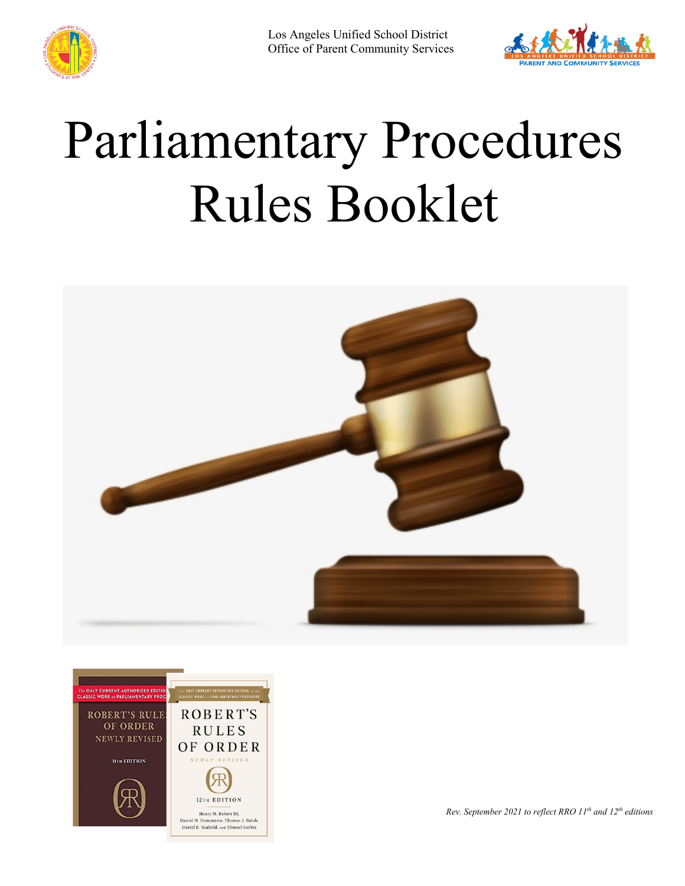

Los Angeles Unified School District Office of Parent Community Services



# Parliamentary Procedures Rules Booklet





*Rev. September 2021 to reflect RRO 11th and 12th editions*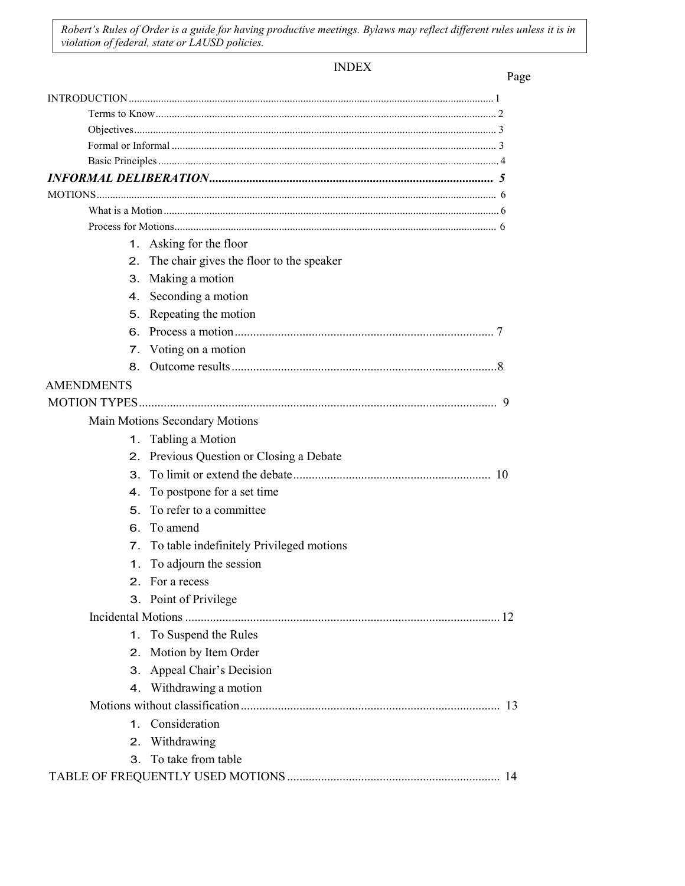*Robert's Rules of Order is a guide for having productive meetings. Bylaws may reflect different rules unless it is in violation of federal, state or LAUSD policies.*

INDEX

|                   | 1. Asking for the floor                     |
|-------------------|---------------------------------------------|
|                   | 2. The chair gives the floor to the speaker |
| З.                | Making a motion                             |
|                   | 4. Seconding a motion                       |
| 5.                | Repeating the motion                        |
| 6.                |                                             |
|                   | 7. Voting on a motion                       |
| 8.                |                                             |
| <b>AMENDMENTS</b> |                                             |
|                   |                                             |
|                   | Main Motions Secondary Motions              |
|                   | 1. Tabling a Motion                         |
|                   | 2. Previous Question or Closing a Debate    |
|                   |                                             |
| 4.                | To postpone for a set time                  |
| 5.                | To refer to a committee                     |
|                   | 6. To amend                                 |
|                   | 7. To table indefinitely Privileged motions |
| 1.                | To adjourn the session                      |
|                   | 2. For a recess                             |
|                   | 3. Point of Privilege                       |
|                   |                                             |
| 1.                | To Suspend the Rules                        |
| 2.                | Motion by Item Order                        |
| 3.                | Appeal Chair's Decision                     |
|                   | 4. Withdrawing a motion                     |
|                   |                                             |
|                   | 1. Consideration                            |
| 2.                | Withdrawing                                 |
|                   | 3. To take from table                       |
|                   |                                             |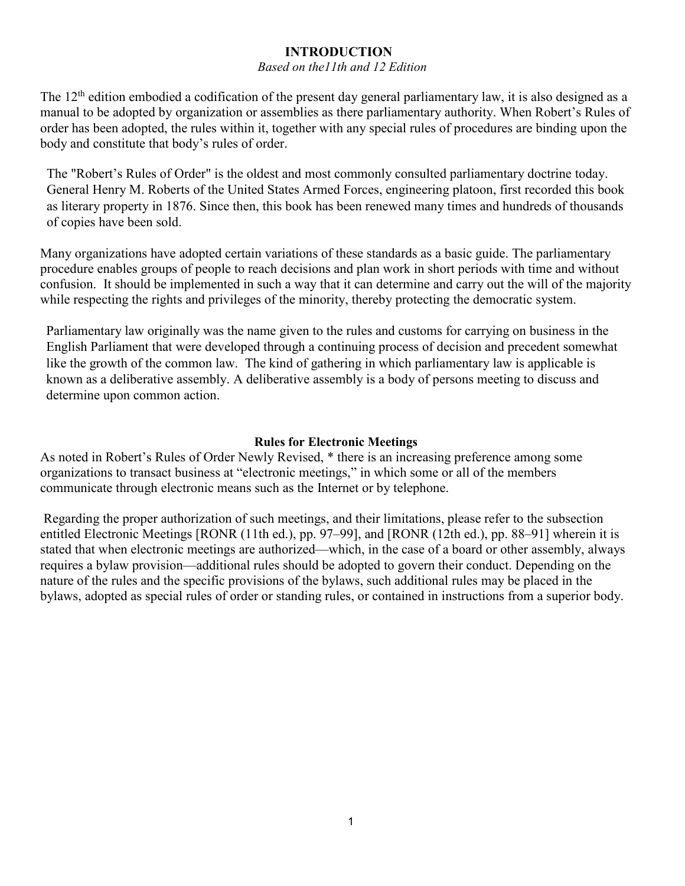# **INTRODUCTION**

#### *Based on the11th and 12 Edition*

<span id="page-2-0"></span>The 12<sup>th</sup> edition embodied a codification of the present day general parliamentary law, it is also designed as a manual to be adopted by organization or assemblies as there parliamentary authority. When Robert's Rules of order has been adopted, the rules within it, together with any special rules of procedures are binding upon the body and constitute that body's rules of order.

The "Robert's Rules of Order" is the oldest and most commonly consulted parliamentary doctrine today. General Henry M. Roberts of the United States Armed Forces, engineering platoon, first recorded this book as literary property in 1876. Since then, this book has been renewed many times and hundreds of thousands of copies have been sold.

Many organizations have adopted certain variations of these standards as a basic guide. The parliamentary procedure enables groups of people to reach decisions and plan work in short periods with time and without confusion. It should be implemented in such a way that it can determine and carry out the will of the majority while respecting the rights and privileges of the minority, thereby protecting the democratic system.

Parliamentary law originally was the name given to the rules and customs for carrying on business in the English Parliament that were developed through a continuing process of decision and precedent somewhat like the growth of the common law. The kind of gathering in which parliamentary law is applicable is known as a deliberative assembly. A deliberative assembly is a body of persons meeting to discuss and determine upon common action.

#### **Rules for Electronic Meetings**

As noted in Robert's Rules of Order Newly Revised, \* there is an increasing preference among some organizations to transact business at "electronic meetings," in which some or all of the members communicate through electronic means such as the Internet or by telephone.

Regarding the proper authorization of such meetings, and their limitations, please refer to the subsection entitled Electronic Meetings [RONR (11th ed.), pp. 97–99], and [RONR (12th ed.), pp. 88–91] wherein it is stated that when electronic meetings are authorized—which, in the case of a board or other assembly, always requires a bylaw provision—additional rules should be adopted to govern their conduct. Depending on the nature of the rules and the specific provisions of the bylaws, such additional rules may be placed in the bylaws, adopted as special rules of order or standing rules, or contained in instructions from a superior body.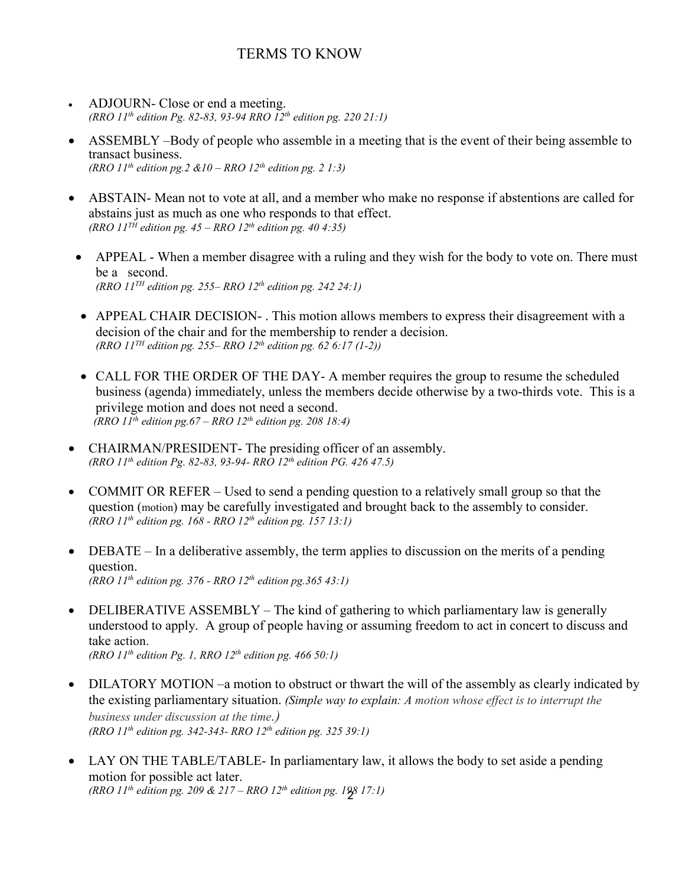# TERMS TO KNOW

- <span id="page-3-0"></span>• ADJOURN- Close or end a meeting. *(RRO 11th edition Pg. 82-83, 93-94 RRO 12th edition pg. 220 21:1)*
- ASSEMBLY –Body of people who assemble in a meeting that is the event of their being assemble to transact business. *(RRO 11th edition pg.2 &10 – RRO 12th edition pg. 2 1:3)*
- ABSTAIN- Mean not to vote at all, and a member who make no response if abstentions are called for abstains just as much as one who responds to that effect. *(RRO 11TH edition pg. 45 – RRO 12th edition pg. 40 4:35)*
	- APPEAL When a member disagree with a ruling and they wish for the body to vote on. There must be a second. *(RRO 11TH edition pg. 255– RRO 12th edition pg. 242 24:1)*
	- APPEAL CHAIR DECISION- . This motion allows members to express their disagreement with a decision of the chair and for the membership to render a decision. *(RRO 11TH edition pg. 255– RRO 12th edition pg. 62 6:17 (1-2))*
	- CALL FOR THE ORDER OF THE DAY- A member requires the group to resume the scheduled business (agenda) immediately, unless the members decide otherwise by a two-thirds vote. This is a privilege motion and does not need a second.  *(RRO 11th edition pg.67 – RRO 12th edition pg. 208 18:4)*
- CHAIRMAN/PRESIDENT- The presiding officer of an assembly. *(RRO 11th edition Pg. 82-83, 93-94- RRO 12th edition PG. 426 47.5)*
- COMMIT OR REFER Used to send a pending question to a relatively small group so that the question (motion) may be carefully investigated and brought back to the assembly to consider. *(RRO 11th edition pg. 168 - RRO 12th edition pg. 157 13:1)*
- DEBATE In a deliberative assembly, the term applies to discussion on the merits of a pending question. *(RRO 11th edition pg. 376 - RRO 12th edition pg.365 43:1)*
- DELIBERATIVE ASSEMBLY The kind of gathering to which parliamentary law is generally understood to apply. A group of people having or assuming freedom to act in concert to discuss and take action. *(RRO 11th edition Pg. 1, RRO 12th edition pg. 466 50:1)*
- DILATORY MOTION –a motion to obstruct or thwart the will of the assembly as clearly indicated by the existing parliamentary situation. *(Simple way to explain: A motion whose effect is to interrupt the business under discussion at the time.) (RRO 11th edition pg. 342-343- RRO 12th edition pg. 325 39:1)*
- 2 *(RRO 11th edition pg. 209 & 217 – RRO 12th edition pg. 198 17:1)*• LAY ON THE TABLE/TABLE- In parliamentary law, it allows the body to set aside a pending motion for possible act later.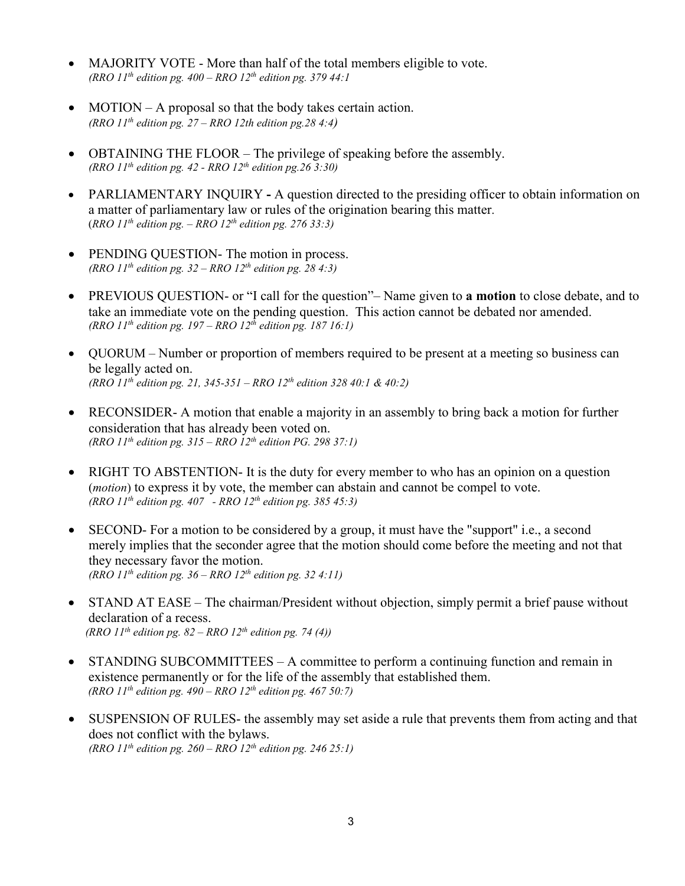- MAJORITY VOTE More than half of the total members eligible to vote. *(RRO 11th edition pg. 400 – RRO 12th edition pg. 379 44:1*
- MOTION A proposal so that the body takes certain action. *(RRO 11th edition pg. 27 – RRO 12th edition pg.28 4:4)*
- OBTAINING THE FLOOR The privilege of speaking before the assembly. *(RRO 11th edition pg. 42 - RRO 12th edition pg.26 3:30)*
- PARLIAMENTARY INQUIRY **-** A question directed to the presiding officer to obtain information on a matter of parliamentary law or rules of the origination bearing this matter. (*RRO 11th edition pg. – RRO 12th edition pg. 276 33:3)*
- PENDING QUESTION- The motion in process. *(RRO 11th edition pg. 32 – RRO 12th edition pg. 28 4:3)*
- PREVIOUS QUESTION- or "I call for the question"– Name given to **a motion** to close debate, and to take an immediate vote on the pending question. This action cannot be debated nor amended. *(RRO 11th edition pg. 197 – RRO 12th edition pg. 187 16:1)*
- QUORUM Number or proportion of members required to be present at a meeting so business can be legally acted on. *(RRO 11th edition pg. 21, 345-351 – RRO 12th edition 328 40:1 & 40:2)*
- RECONSIDER- A motion that enable a majority in an assembly to bring back a motion for further consideration that has already been voted on. *(RRO 11th edition pg. 315 – RRO 12th edition PG. 298 37:1)*
- RIGHT TO ABSTENTION- It is the duty for every member to who has an opinion on a question (*motion*) to express it by vote, the member can abstain and cannot be compel to vote. *(RRO 11th edition pg. 407 - RRO 12th edition pg. 385 45:3)*
- SECOND- For a motion to be considered by a group, it must have the "support" i.e., a second merely implies that the seconder agree that the motion should come before the meeting and not that they necessary favor the motion. *(RRO 11th edition pg. 36 – RRO 12th edition pg. 32 4:11)*
- STAND AT EASE The chairman/President without objection, simply permit a brief pause without declaration of a recess. *(RRO 11th edition pg. 82 – RRO 12th edition pg. 74 (4))*
- STANDING SUBCOMMITTEES A committee to perform a continuing function and remain in existence permanently or for the life of the assembly that established them. *(RRO 11th edition pg. 490 – RRO 12th edition pg. 467 50:7)*
- SUSPENSION OF RULES- the assembly may set aside a rule that prevents them from acting and that does not conflict with the bylaws. *(RRO 11th edition pg. 260 – RRO 12th edition pg. 246 25:1)*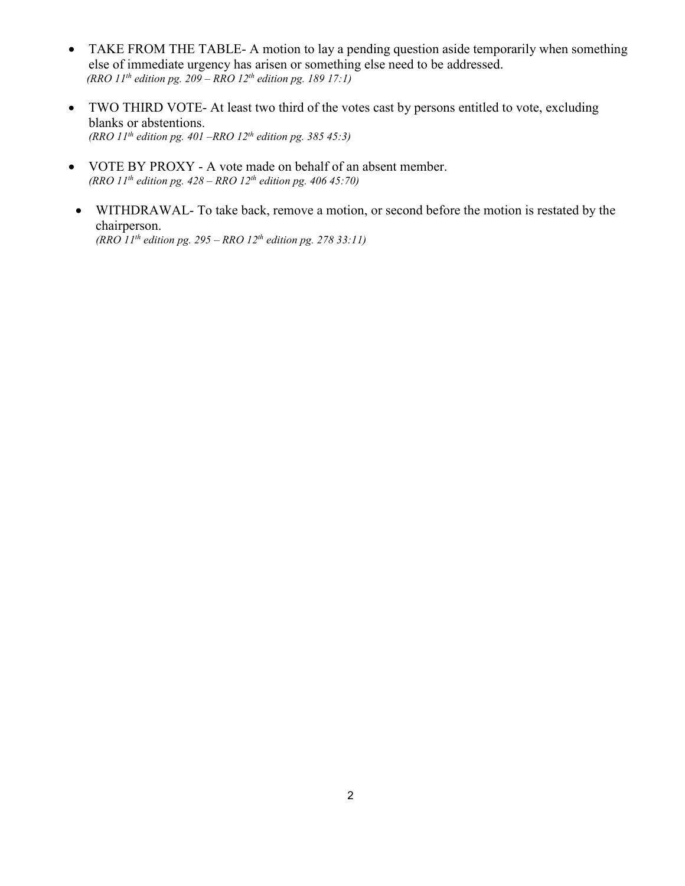- TAKE FROM THE TABLE- A motion to lay a pending question aside temporarily when something else of immediate urgency has arisen or something else need to be addressed. *(RRO 11th edition pg. 209 – RRO 12th edition pg. 189 17:1)*
- TWO THIRD VOTE- At least two third of the votes cast by persons entitled to vote, excluding blanks or abstentions. *(RRO 11th edition pg. 401 –RRO 12th edition pg. 385 45:3)*
- VOTE BY PROXY A vote made on behalf of an absent member. *(RRO 11th edition pg. 428 – RRO 12th edition pg. 406 45:70)*
- WITHDRAWAL- To take back, remove a motion, or second before the motion is restated by the chairperson. *(RRO 11th edition pg. 295 – RRO 12th edition pg. 278 33:11)*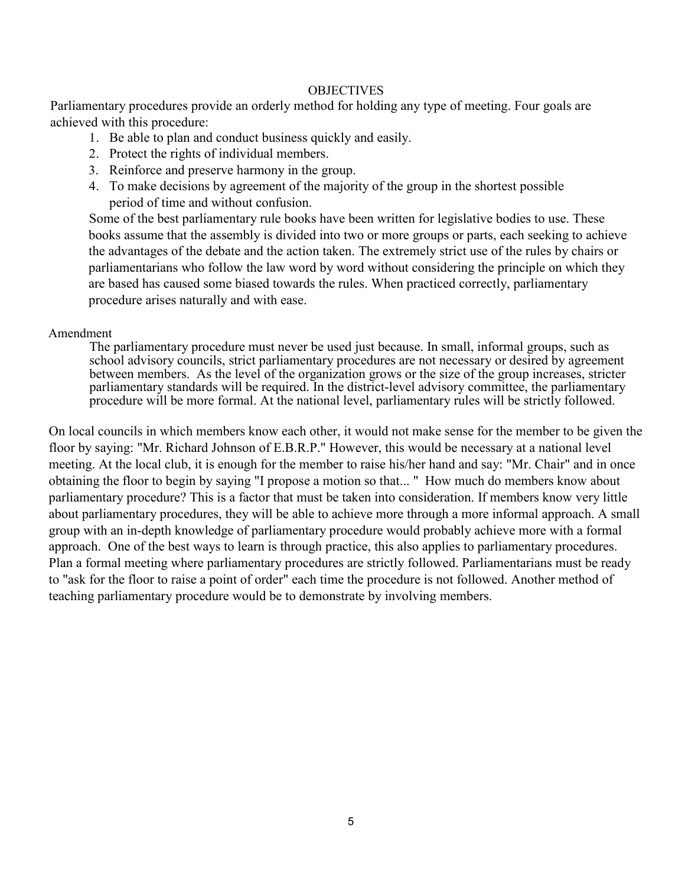#### **OBJECTIVES**

Parliamentary procedures provide an orderly method for holding any type of meeting. Four goals are achieved with this procedure:

- 1. Be able to plan and conduct business quickly and easily.
- 2. Protect the rights of individual members.
- 3. Reinforce and preserve harmony in the group.
- 4. To make decisions by agreement of the majority of the group in the shortest possible period of time and without confusion.

Some of the best parliamentary rule books have been written for legislative bodies to use. These books assume that the assembly is divided into two or more groups or parts, each seeking to achieve the advantages of the debate and the action taken. The extremely strict use of the rules by chairs or parliamentarians who follow the law word by word without considering the principle on which they are based has caused some biased towards the rules. When practiced correctly, parliamentary procedure arises naturally and with ease.

#### Amendment

The parliamentary procedure must never be used just because. In small, informal groups, such as school advisory councils, strict parliamentary procedures are not necessary or desired by agreement between members. As the level of the organization grows or the size of the group increases, stricter parliamentary standards will be required. In the district-level advisory committee, the parliamentary procedure will be more formal. At the national level, parliamentary rules will be strictly followed.

On local councils in which members know each other, it would not make sense for the member to be given the floor by saying: "Mr. Richard Johnson of E.B.R.P." However, this would be necessary at a national level meeting. At the local club, it is enough for the member to raise his/her hand and say: "Mr. Chair" and in once obtaining the floor to begin by saying "I propose a motion so that... " How much do members know about parliamentary procedure? This is a factor that must be taken into consideration. If members know very little about parliamentary procedures, they will be able to achieve more through a more informal approach. A small group with an in-depth knowledge of parliamentary procedure would probably achieve more with a formal approach. One of the best ways to learn is through practice, this also applies to parliamentary procedures. Plan a formal meeting where parliamentary procedures are strictly followed. Parliamentarians must be ready to "ask for the floor to raise a point of order" each time the procedure is not followed. Another method of teaching parliamentary procedure would be to demonstrate by involving members.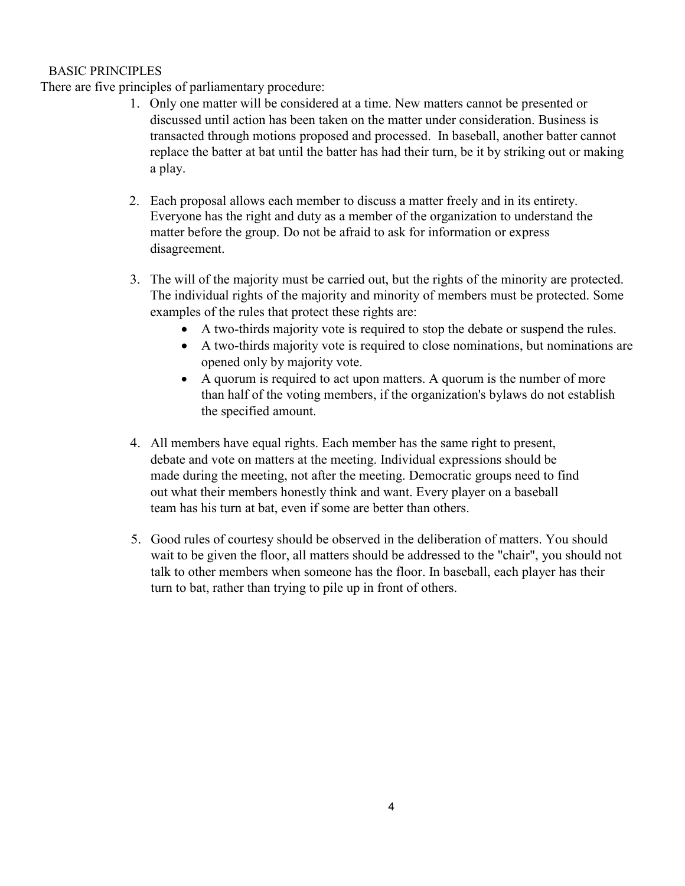### BASIC PRINCIPLES

There are five principles of parliamentary procedure:

- 1. Only one matter will be considered at a time. New matters cannot be presented or discussed until action has been taken on the matter under consideration. Business is transacted through motions proposed and processed. In baseball, another batter cannot replace the batter at bat until the batter has had their turn, be it by striking out or making a play.
- 2. Each proposal allows each member to discuss a matter freely and in its entirety. Everyone has the right and duty as a member of the organization to understand the matter before the group. Do not be afraid to ask for information or express disagreement.
- 3. The will of the majority must be carried out, but the rights of the minority are protected. The individual rights of the majority and minority of members must be protected. Some examples of the rules that protect these rights are:
	- A two-thirds majority vote is required to stop the debate or suspend the rules.
	- A two-thirds majority vote is required to close nominations, but nominations are opened only by majority vote.
	- A quorum is required to act upon matters. A quorum is the number of more than half of the voting members, if the organization's bylaws do not establish the specified amount.
- 4. All members have equal rights. Each member has the same right to present, debate and vote on matters at the meeting. Individual expressions should be made during the meeting, not after the meeting. Democratic groups need to find out what their members honestly think and want. Every player on a baseball team has his turn at bat, even if some are better than others.
- 5. Good rules of courtesy should be observed in the deliberation of matters. You should wait to be given the floor, all matters should be addressed to the "chair", you should not talk to other members when someone has the floor. In baseball, each player has their turn to bat, rather than trying to pile up in front of others.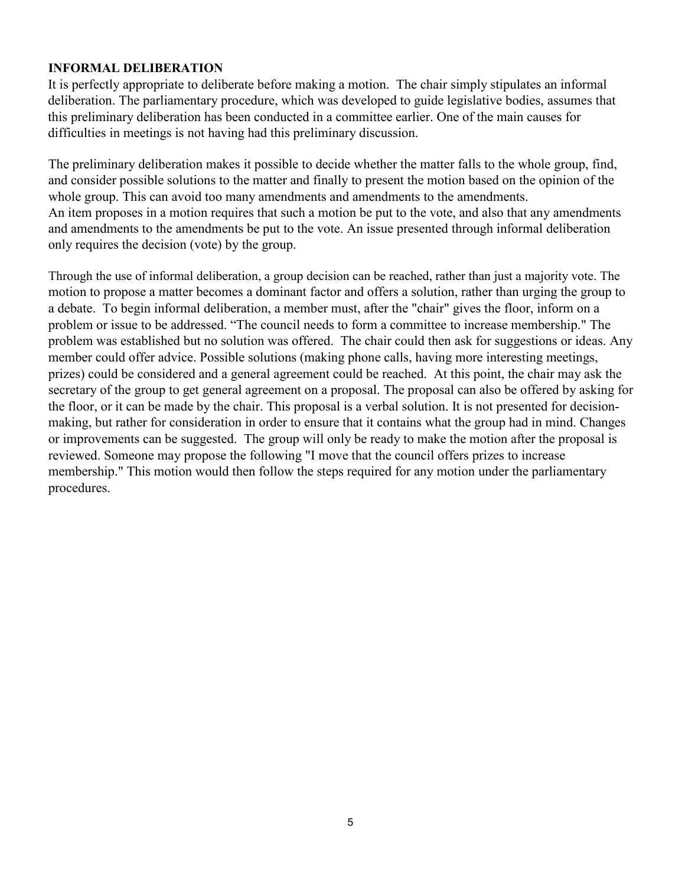### **INFORMAL DELIBERATION**

It is perfectly appropriate to deliberate before making a motion. The chair simply stipulates an informal deliberation. The parliamentary procedure, which was developed to guide legislative bodies, assumes that this preliminary deliberation has been conducted in a committee earlier. One of the main causes for difficulties in meetings is not having had this preliminary discussion.

The preliminary deliberation makes it possible to decide whether the matter falls to the whole group, find, and consider possible solutions to the matter and finally to present the motion based on the opinion of the whole group. This can avoid too many amendments and amendments to the amendments. An item proposes in a motion requires that such a motion be put to the vote, and also that any amendments and amendments to the amendments be put to the vote. An issue presented through informal deliberation only requires the decision (vote) by the group.

Through the use of informal deliberation, a group decision can be reached, rather than just a majority vote. The motion to propose a matter becomes a dominant factor and offers a solution, rather than urging the group to a debate. To begin informal deliberation, a member must, after the "chair" gives the floor, inform on a problem or issue to be addressed. "The council needs to form a committee to increase membership." The problem was established but no solution was offered. The chair could then ask for suggestions or ideas. Any member could offer advice. Possible solutions (making phone calls, having more interesting meetings, prizes) could be considered and a general agreement could be reached. At this point, the chair may ask the secretary of the group to get general agreement on a proposal. The proposal can also be offered by asking for the floor, or it can be made by the chair. This proposal is a verbal solution. It is not presented for decisionmaking, but rather for consideration in order to ensure that it contains what the group had in mind. Changes or improvements can be suggested. The group will only be ready to make the motion after the proposal is reviewed. Someone may propose the following "I move that the council offers prizes to increase membership." This motion would then follow the steps required for any motion under the parliamentary procedures.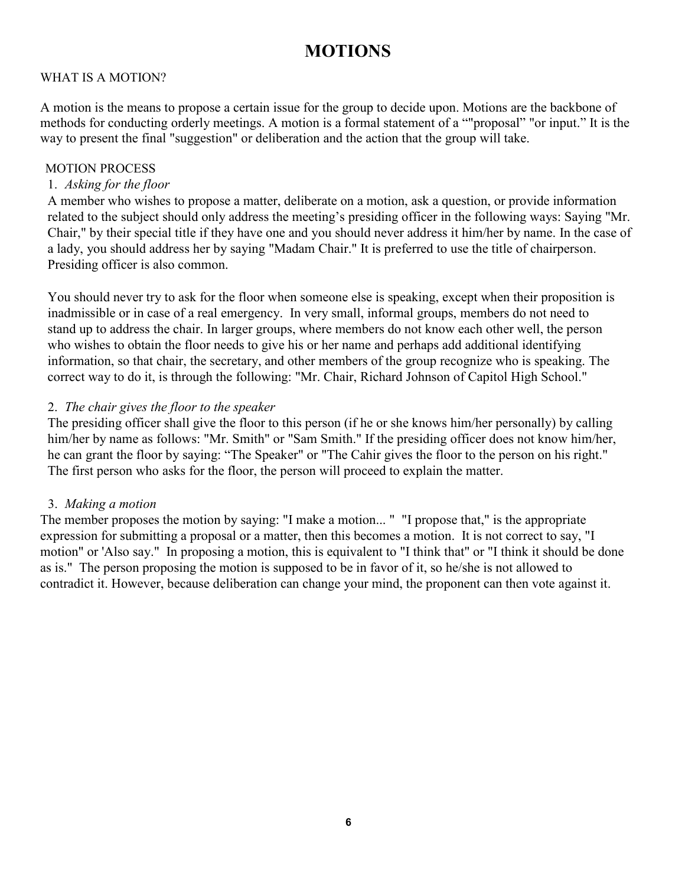# **MOTIONS**

# WHAT IS A MOTION?

A motion is the means to propose a certain issue for the group to decide upon. Motions are the backbone of methods for conducting orderly meetings. A motion is a formal statement of a ""proposal" "or input." It is the way to present the final "suggestion" or deliberation and the action that the group will take.

#### MOTION PROCESS

# 1. *Asking for the floor*

A member who wishes to propose a matter, deliberate on a motion, ask a question, or provide information related to the subject should only address the meeting's presiding officer in the following ways: Saying "Mr. Chair," by their special title if they have one and you should never address it him/her by name. In the case of a lady, you should address her by saying "Madam Chair." It is preferred to use the title of chairperson. Presiding officer is also common.

You should never try to ask for the floor when someone else is speaking, except when their proposition is inadmissible or in case of a real emergency. In very small, informal groups, members do not need to stand up to address the chair. In larger groups, where members do not know each other well, the person who wishes to obtain the floor needs to give his or her name and perhaps add additional identifying information, so that chair, the secretary, and other members of the group recognize who is speaking. The correct way to do it, is through the following: "Mr. Chair, Richard Johnson of Capitol High School."

### 2. *The chair gives the floor to the speaker*

The presiding officer shall give the floor to this person (if he or she knows him/her personally) by calling him/her by name as follows: "Mr. Smith" or "Sam Smith." If the presiding officer does not know him/her, he can grant the floor by saying: "The Speaker" or "The Cahir gives the floor to the person on his right." The first person who asks for the floor, the person will proceed to explain the matter.

#### 3. *Making a motion*

The member proposes the motion by saying: "I make a motion... " "I propose that," is the appropriate expression for submitting a proposal or a matter, then this becomes a motion. It is not correct to say, "I motion" or 'Also say." In proposing a motion, this is equivalent to "I think that" or "I think it should be done as is." The person proposing the motion is supposed to be in favor of it, so he/she is not allowed to contradict it. However, because deliberation can change your mind, the proponent can then vote against it.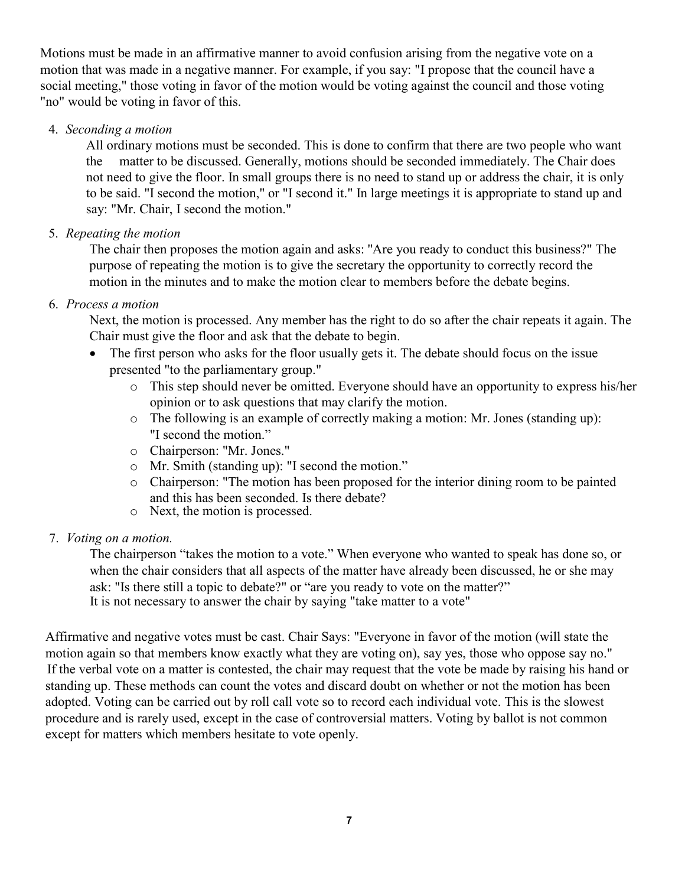Motions must be made in an affirmative manner to avoid confusion arising from the negative vote on a motion that was made in a negative manner. For example, if you say: "I propose that the council have a social meeting," those voting in favor of the motion would be voting against the council and those voting "no" would be voting in favor of this.

4. *Seconding a motion*

All ordinary motions must be seconded. This is done to confirm that there are two people who want the matter to be discussed. Generally, motions should be seconded immediately. The Chair does not need to give the floor. In small groups there is no need to stand up or address the chair, it is only to be said. "I second the motion," or "I second it." In large meetings it is appropriate to stand up and say: "Mr. Chair, I second the motion."

5. *Repeating the motion*

The chair then proposes the motion again and asks: ''Are you ready to conduct this business?" The purpose of repeating the motion is to give the secretary the opportunity to correctly record the motion in the minutes and to make the motion clear to members before the debate begins.

6. *Process a motion*

Next, the motion is processed. Any member has the right to do so after the chair repeats it again. The Chair must give the floor and ask that the debate to begin.

- The first person who asks for the floor usually gets it. The debate should focus on the issue presented "to the parliamentary group."
	- o This step should never be omitted. Everyone should have an opportunity to express his/her opinion or to ask questions that may clarify the motion.
	- o The following is an example of correctly making a motion: Mr. Jones (standing up): "I second the motion."
	- o Chairperson: "Mr. Jones."
	- o Mr. Smith (standing up): "I second the motion."
	- o Chairperson: "The motion has been proposed for the interior dining room to be painted and this has been seconded. Is there debate?
	- o Next, the motion is processed.
- 7. *Voting on a motion.*

The chairperson "takes the motion to a vote." When everyone who wanted to speak has done so, or when the chair considers that all aspects of the matter have already been discussed, he or she may ask: "Is there still a topic to debate?" or "are you ready to vote on the matter?" It is not necessary to answer the chair by saying "take matter to a vote"

Affirmative and negative votes must be cast. Chair Says: "Everyone in favor of the motion (will state the motion again so that members know exactly what they are voting on), say yes, those who oppose say no." If the verbal vote on a matter is contested, the chair may request that the vote be made by raising his hand or standing up. These methods can count the votes and discard doubt on whether or not the motion has been adopted. Voting can be carried out by roll call vote so to record each individual vote. This is the slowest procedure and is rarely used, except in the case of controversial matters. Voting by ballot is not common except for matters which members hesitate to vote openly.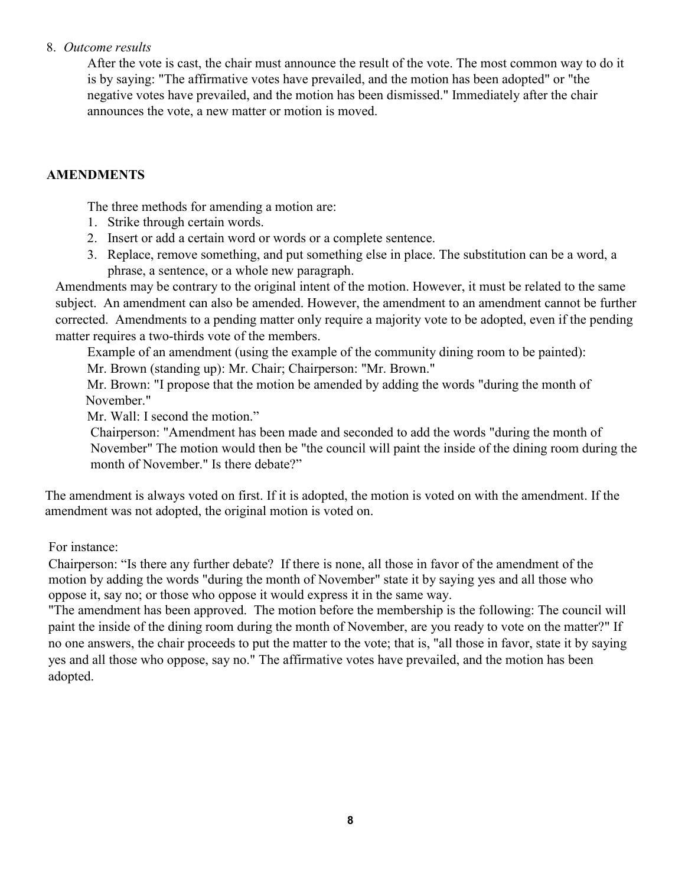#### 8. *Outcome results*

After the vote is cast, the chair must announce the result of the vote. The most common way to do it is by saying: "The affirmative votes have prevailed, and the motion has been adopted" or "the negative votes have prevailed, and the motion has been dismissed." Immediately after the chair announces the vote, a new matter or motion is moved.

# **AMENDMENTS**

The three methods for amending a motion are:

- 1. Strike through certain words.
- 2. Insert or add a certain word or words or a complete sentence.
- 3. Replace, remove something, and put something else in place. The substitution can be a word, a phrase, a sentence, or a whole new paragraph.

Amendments may be contrary to the original intent of the motion. However, it must be related to the same subject. An amendment can also be amended. However, the amendment to an amendment cannot be further corrected. Amendments to a pending matter only require a majority vote to be adopted, even if the pending matter requires a two-thirds vote of the members.

Example of an amendment (using the example of the community dining room to be painted):

Mr. Brown (standing up): Mr. Chair; Chairperson: "Mr. Brown."

Mr. Brown: "I propose that the motion be amended by adding the words "during the month of November."

Mr. Wall: I second the motion."

Chairperson: "Amendment has been made and seconded to add the words "during the month of November" The motion would then be "the council will paint the inside of the dining room during the month of November." Is there debate?"

The amendment is always voted on first. If it is adopted, the motion is voted on with the amendment. If the amendment was not adopted, the original motion is voted on.

For instance:

Chairperson: "Is there any further debate? If there is none, all those in favor of the amendment of the motion by adding the words "during the month of November" state it by saying yes and all those who oppose it, say no; or those who oppose it would express it in the same way.

"The amendment has been approved. The motion before the membership is the following: The council will paint the inside of the dining room during the month of November, are you ready to vote on the matter?" If no one answers, the chair proceeds to put the matter to the vote; that is, "all those in favor, state it by saying yes and all those who oppose, say no." The affirmative votes have prevailed, and the motion has been adopted.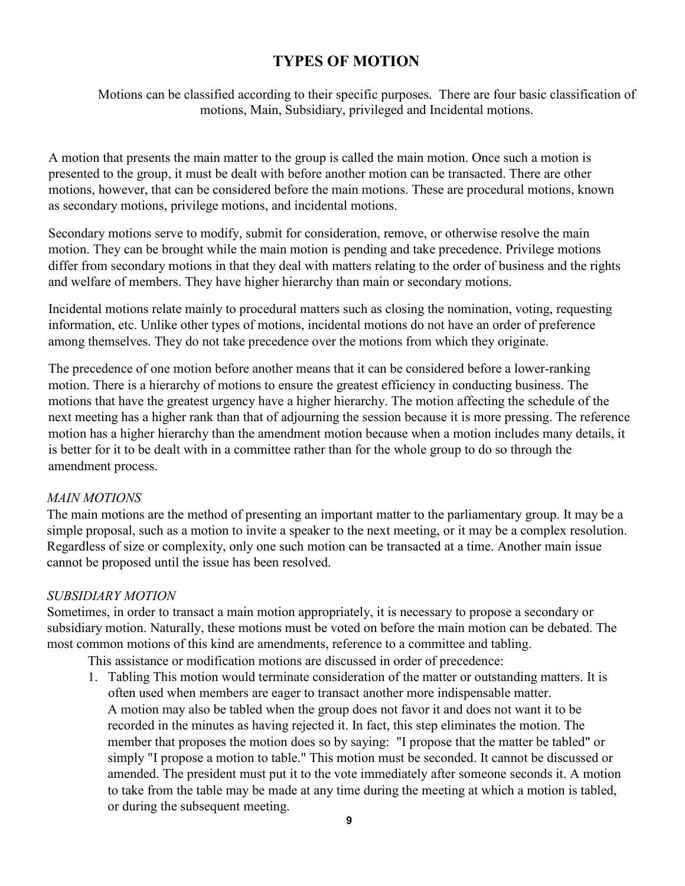# **TYPES OF MOTION**

Motions can be classified according to their specific purposes. There are four basic classification of motions, Main, Subsidiary, privileged and Incidental motions.

A motion that presents the main matter to the group is called the main motion. Once such a motion is presented to the group, it must be dealt with before another motion can be transacted. There are other motions, however, that can be considered before the main motions. These are procedural motions, known as secondary motions, privilege motions, and incidental motions.

Secondary motions serve to modify, submit for consideration, remove, or otherwise resolve the main motion. They can be brought while the main motion is pending and take precedence. Privilege motions differ from secondary motions in that they deal with matters relating to the order of business and the rights and welfare of members. They have higher hierarchy than main or secondary motions.

Incidental motions relate mainly to procedural matters such as closing the nomination, voting, requesting information, etc. Unlike other types of motions, incidental motions do not have an order of preference among themselves. They do not take precedence over the motions from which they originate.

The precedence of one motion before another means that it can be considered before a lower-ranking motion. There is a hierarchy of motions to ensure the greatest efficiency in conducting business. The motions that have the greatest urgency have a higher hierarchy. The motion affecting the schedule of the next meeting has a higher rank than that of adjourning the session because it is more pressing. The reference motion has a higher hierarchy than the amendment motion because when a motion includes many details, it is better for it to be dealt with in a committee rather than for the whole group to do so through the amendment process.

# *MAIN MOTIONS*

The main motions are the method of presenting an important matter to the parliamentary group. It may be a simple proposal, such as a motion to invite a speaker to the next meeting, or it may be a complex resolution. Regardless of size or complexity, only one such motion can be transacted at a time. Another main issue cannot be proposed until the issue has been resolved.

# *SUBSIDIARY MOTION*

Sometimes, in order to transact a main motion appropriately, it is necessary to propose a secondary or subsidiary motion. Naturally, these motions must be voted on before the main motion can be debated. The most common motions of this kind are amendments, reference to a committee and tabling.

This assistance or modification motions are discussed in order of precedence:

1. Tabling This motion would terminate consideration of the matter or outstanding matters. It is often used when members are eager to transact another more indispensable matter. A motion may also be tabled when the group does not favor it and does not want it to be recorded in the minutes as having rejected it. In fact, this step eliminates the motion. The member that proposes the motion does so by saying: "I propose that the matter be tabled" or simply "I propose a motion to table." This motion must be seconded. It cannot be discussed or amended. The president must put it to the vote immediately after someone seconds it. A motion to take from the table may be made at any time during the meeting at which a motion is tabled, or during the subsequent meeting.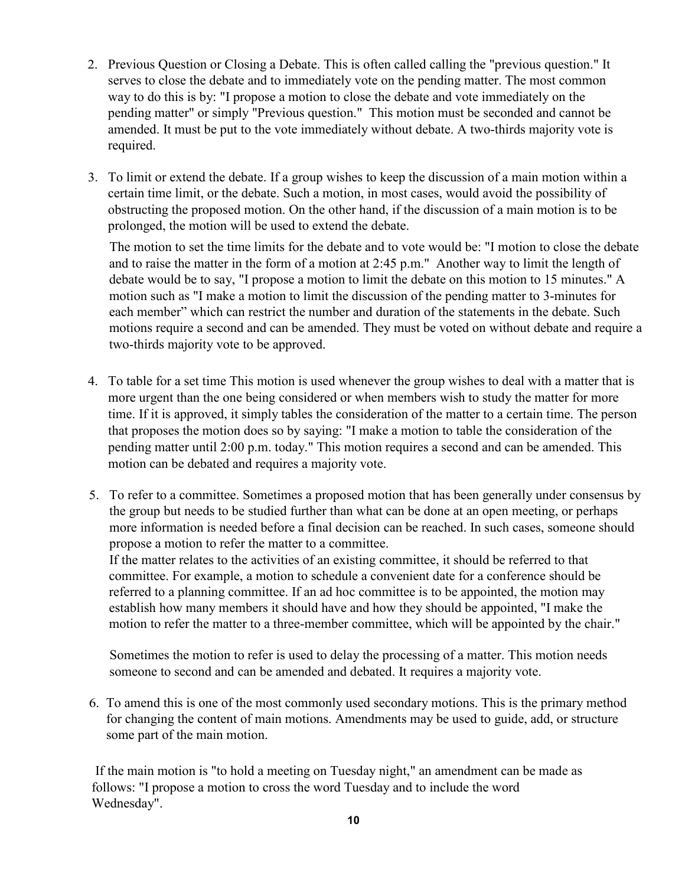- 2. Previous Question or Closing a Debate. This is often called calling the "previous question." It serves to close the debate and to immediately vote on the pending matter. The most common way to do this is by: "I propose a motion to close the debate and vote immediately on the pending matter" or simply "Previous question." This motion must be seconded and cannot be amended. It must be put to the vote immediately without debate. A two-thirds majority vote is required.
- 3. To limit or extend the debate. If a group wishes to keep the discussion of a main motion within a certain time limit, or the debate. Such a motion, in most cases, would avoid the possibility of obstructing the proposed motion. On the other hand, if the discussion of a main motion is to be prolonged, the motion will be used to extend the debate.

The motion to set the time limits for the debate and to vote would be: "I motion to close the debate and to raise the matter in the form of a motion at 2:45 p.m." Another way to limit the length of debate would be to say, "I propose a motion to limit the debate on this motion to 15 minutes." A motion such as "I make a motion to limit the discussion of the pending matter to 3-minutes for each member" which can restrict the number and duration of the statements in the debate. Such motions require a second and can be amended. They must be voted on without debate and require a two-thirds majority vote to be approved.

- 4. To table for a set time This motion is used whenever the group wishes to deal with a matter that is more urgent than the one being considered or when members wish to study the matter for more time. If it is approved, it simply tables the consideration of the matter to a certain time. The person that proposes the motion does so by saying: "I make a motion to table the consideration of the pending matter until 2:00 p.m. today." This motion requires a second and can be amended. This motion can be debated and requires a majority vote.
- 5. To refer to a committee. Sometimes a proposed motion that has been generally under consensus by the group but needs to be studied further than what can be done at an open meeting, or perhaps more information is needed before a final decision can be reached. In such cases, someone should propose a motion to refer the matter to a committee.

If the matter relates to the activities of an existing committee, it should be referred to that committee. For example, a motion to schedule a convenient date for a conference should be referred to a planning committee. If an ad hoc committee is to be appointed, the motion may establish how many members it should have and how they should be appointed, "I make the motion to refer the matter to a three-member committee, which will be appointed by the chair."

Sometimes the motion to refer is used to delay the processing of a matter. This motion needs someone to second and can be amended and debated. It requires a majority vote.

6. To amend this is one of the most commonly used secondary motions. This is the primary method for changing the content of main motions. Amendments may be used to guide, add, or structure some part of the main motion.

If the main motion is "to hold a meeting on Tuesday night," an amendment can be made as follows: "I propose a motion to cross the word Tuesday and to include the word Wednesday".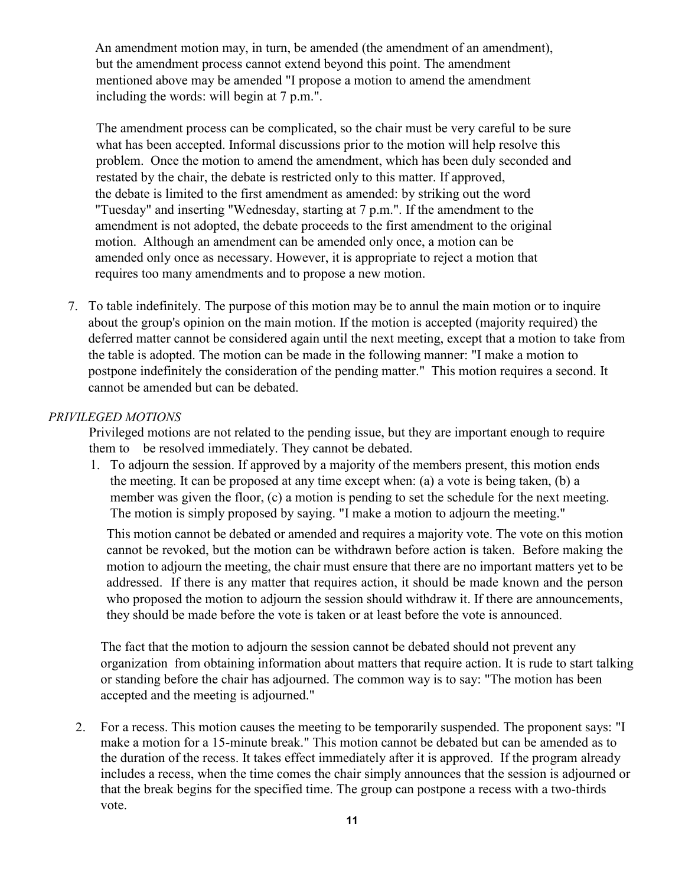An amendment motion may, in turn, be amended (the amendment of an amendment), but the amendment process cannot extend beyond this point. The amendment mentioned above may be amended "I propose a motion to amend the amendment including the words: will begin at 7 p.m.".

The amendment process can be complicated, so the chair must be very careful to be sure what has been accepted. Informal discussions prior to the motion will help resolve this problem. Once the motion to amend the amendment, which has been duly seconded and restated by the chair, the debate is restricted only to this matter. If approved, the debate is limited to the first amendment as amended: by striking out the word "Tuesday" and inserting "Wednesday, starting at 7 p.m.". If the amendment to the amendment is not adopted, the debate proceeds to the first amendment to the original motion. Although an amendment can be amended only once, a motion can be amended only once as necessary. However, it is appropriate to reject a motion that requires too many amendments and to propose a new motion.

7. To table indefinitely. The purpose of this motion may be to annul the main motion or to inquire about the group's opinion on the main motion. If the motion is accepted (majority required) the deferred matter cannot be considered again until the next meeting, except that a motion to take from the table is adopted. The motion can be made in the following manner: "I make a motion to postpone indefinitely the consideration of the pending matter." This motion requires a second. It cannot be amended but can be debated.

#### *PRIVILEGED MOTIONS*

Privileged motions are not related to the pending issue, but they are important enough to require them to be resolved immediately. They cannot be debated.

1. To adjourn the session. If approved by a majority of the members present, this motion ends the meeting. It can be proposed at any time except when: (a) a vote is being taken, (b) a member was given the floor, (c) a motion is pending to set the schedule for the next meeting. The motion is simply proposed by saying. "I make a motion to adjourn the meeting."

This motion cannot be debated or amended and requires a majority vote. The vote on this motion cannot be revoked, but the motion can be withdrawn before action is taken. Before making the motion to adjourn the meeting, the chair must ensure that there are no important matters yet to be addressed. If there is any matter that requires action, it should be made known and the person who proposed the motion to adjourn the session should withdraw it. If there are announcements, they should be made before the vote is taken or at least before the vote is announced.

The fact that the motion to adjourn the session cannot be debated should not prevent any organization from obtaining information about matters that require action. It is rude to start talking or standing before the chair has adjourned. The common way is to say: "The motion has been accepted and the meeting is adjourned."

2. For a recess. This motion causes the meeting to be temporarily suspended. The proponent says: "I make a motion for a 15-minute break." This motion cannot be debated but can be amended as to the duration of the recess. It takes effect immediately after it is approved. If the program already includes a recess, when the time comes the chair simply announces that the session is adjourned or that the break begins for the specified time. The group can postpone a recess with a two-thirds vote.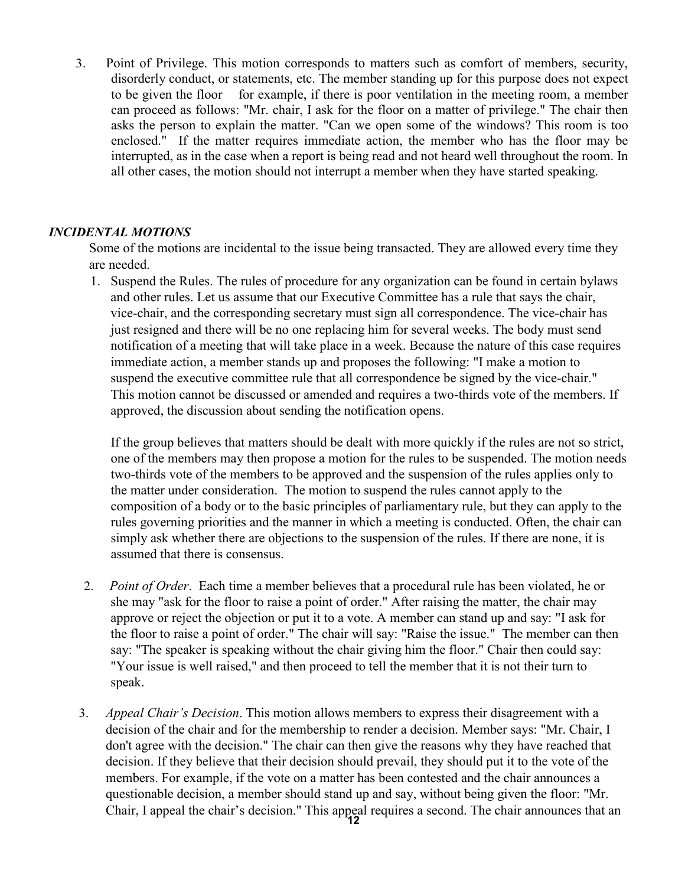3. Point of Privilege. This motion corresponds to matters such as comfort of members, security, disorderly conduct, or statements, etc. The member standing up for this purpose does not expect to be given the floor for example, if there is poor ventilation in the meeting room, a member can proceed as follows: "Mr. chair, I ask for the floor on a matter of privilege." The chair then asks the person to explain the matter. "Can we open some of the windows? This room is too enclosed." If the matter requires immediate action, the member who has the floor may be interrupted, as in the case when a report is being read and not heard well throughout the room. In all other cases, the motion should not interrupt a member when they have started speaking.

#### *INCIDENTAL MOTIONS*

Some of the motions are incidental to the issue being transacted. They are allowed every time they are needed.

1. Suspend the Rules. The rules of procedure for any organization can be found in certain bylaws and other rules. Let us assume that our Executive Committee has a rule that says the chair, vice-chair, and the corresponding secretary must sign all correspondence. The vice-chair has just resigned and there will be no one replacing him for several weeks. The body must send notification of a meeting that will take place in a week. Because the nature of this case requires immediate action, a member stands up and proposes the following: "I make a motion to suspend the executive committee rule that all correspondence be signed by the vice-chair." This motion cannot be discussed or amended and requires a two-thirds vote of the members. If approved, the discussion about sending the notification opens.

If the group believes that matters should be dealt with more quickly if the rules are not so strict, one of the members may then propose a motion for the rules to be suspended. The motion needs two-thirds vote of the members to be approved and the suspension of the rules applies only to the matter under consideration. The motion to suspend the rules cannot apply to the composition of a body or to the basic principles of parliamentary rule, but they can apply to the rules governing priorities and the manner in which a meeting is conducted. Often, the chair can simply ask whether there are objections to the suspension of the rules. If there are none, it is assumed that there is consensus.

- 2. *Point of Order*. Each time a member believes that a procedural rule has been violated, he or she may "ask for the floor to raise a point of order." After raising the matter, the chair may approve or reject the objection or put it to a vote. A member can stand up and say: "I ask for the floor to raise a point of order." The chair will say: "Raise the issue." The member can then say: "The speaker is speaking without the chair giving him the floor." Chair then could say: "Your issue is well raised," and then proceed to tell the member that it is not their turn to speak.
- 3. *Appeal Chair's Decision*. This motion allows members to express their disagreement with a decision of the chair and for the membership to render a decision. Member says: "Mr. Chair, I don't agree with the decision." The chair can then give the reasons why they have reached that decision. If they believe that their decision should prevail, they should put it to the vote of the members. For example, if the vote on a matter has been contested and the chair announces a questionable decision, a member should stand up and say, without being given the floor: "Mr. Chair, I appeal the chair's decision." This appeal requires a second. The chair announces that an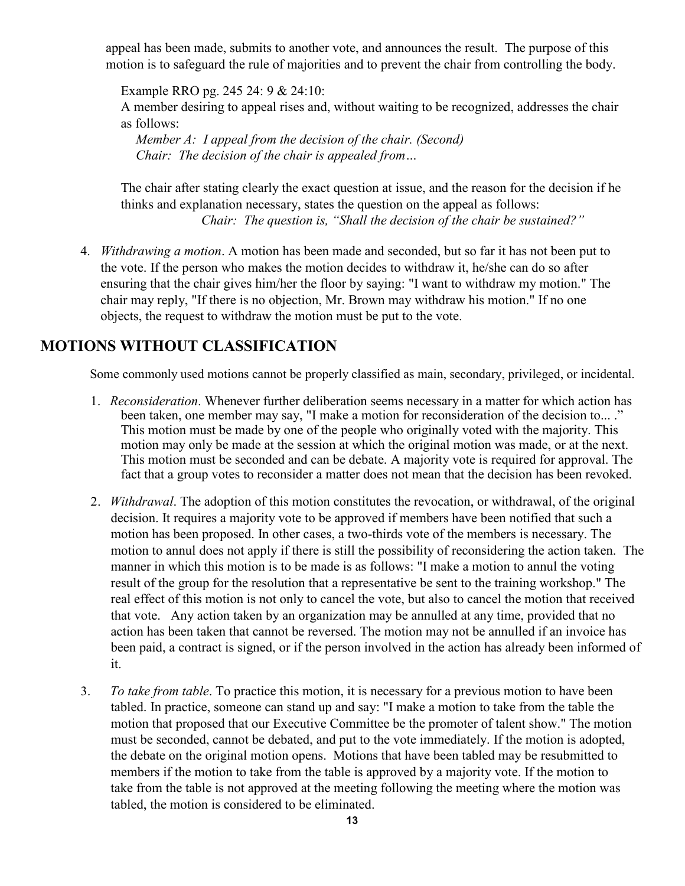appeal has been made, submits to another vote, and announces the result. The purpose of this motion is to safeguard the rule of majorities and to prevent the chair from controlling the body.

Example RRO pg. 245 24: 9 & 24:10:

A member desiring to appeal rises and, without waiting to be recognized, addresses the chair as follows:

*Member A: I appeal from the decision of the chair. (Second) Chair: The decision of the chair is appealed from…*

The chair after stating clearly the exact question at issue, and the reason for the decision if he thinks and explanation necessary, states the question on the appeal as follows: *Chair: The question is, "Shall the decision of the chair be sustained?"*

4. *Withdrawing a motion*. A motion has been made and seconded, but so far it has not been put to the vote. If the person who makes the motion decides to withdraw it, he/she can do so after ensuring that the chair gives him/her the floor by saying: "I want to withdraw my motion." The chair may reply, "If there is no objection, Mr. Brown may withdraw his motion." If no one objects, the request to withdraw the motion must be put to the vote.

# **MOTIONS WITHOUT CLASSIFICATION**

Some commonly used motions cannot be properly classified as main, secondary, privileged, or incidental.

- 1. *Reconsideration*. Whenever further deliberation seems necessary in a matter for which action has been taken, one member may say, "I make a motion for reconsideration of the decision to... ." This motion must be made by one of the people who originally voted with the majority. This motion may only be made at the session at which the original motion was made, or at the next. This motion must be seconded and can be debate. A majority vote is required for approval. The fact that a group votes to reconsider a matter does not mean that the decision has been revoked.
- 2. *Withdrawal*. The adoption of this motion constitutes the revocation, or withdrawal, of the original decision. It requires a majority vote to be approved if members have been notified that such a motion has been proposed. In other cases, a two-thirds vote of the members is necessary. The motion to annul does not apply if there is still the possibility of reconsidering the action taken. The manner in which this motion is to be made is as follows: "I make a motion to annul the voting result of the group for the resolution that a representative be sent to the training workshop." The real effect of this motion is not only to cancel the vote, but also to cancel the motion that received that vote. Any action taken by an organization may be annulled at any time, provided that no action has been taken that cannot be reversed. The motion may not be annulled if an invoice has been paid, a contract is signed, or if the person involved in the action has already been informed of it.
- 3. *To take from table*. To practice this motion, it is necessary for a previous motion to have been tabled. In practice, someone can stand up and say: "I make a motion to take from the table the motion that proposed that our Executive Committee be the promoter of talent show." The motion must be seconded, cannot be debated, and put to the vote immediately. If the motion is adopted, the debate on the original motion opens. Motions that have been tabled may be resubmitted to members if the motion to take from the table is approved by a majority vote. If the motion to take from the table is not approved at the meeting following the meeting where the motion was tabled, the motion is considered to be eliminated.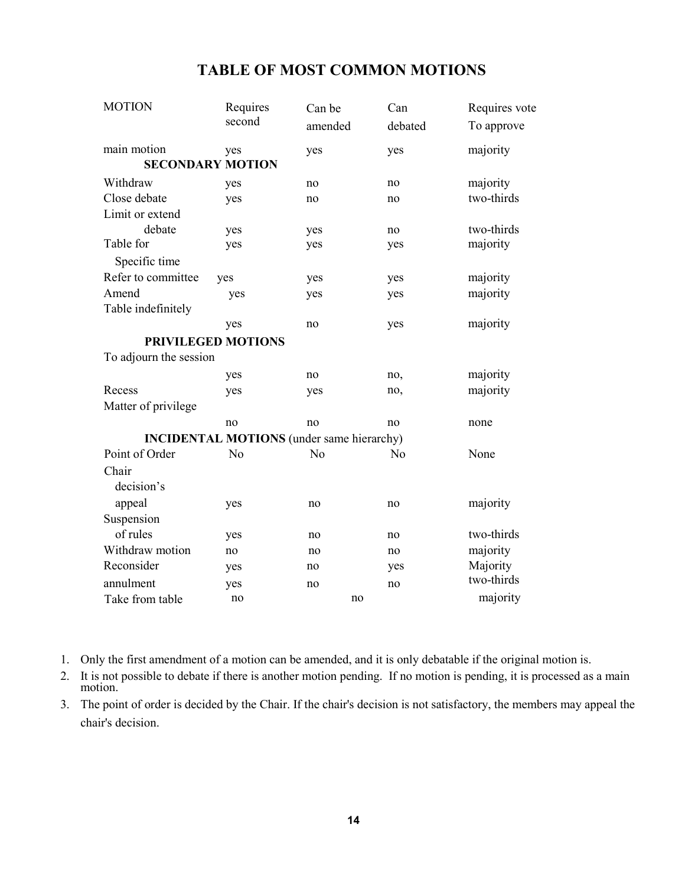|  | <b>TABLE OF MOST COMMON MOTIONS</b> |
|--|-------------------------------------|
|--|-------------------------------------|

| <b>MOTION</b>          | Requires                                         | Can be   | Can     | Requires vote |
|------------------------|--------------------------------------------------|----------|---------|---------------|
|                        | second                                           | amended  | debated | To approve    |
| main motion            | yes                                              | yes      | yes     | majority      |
|                        | <b>SECONDARY MOTION</b>                          |          |         |               |
| Withdraw               | yes                                              | no       | no      | majority      |
| Close debate           | yes                                              | no       | no      | two-thirds    |
| Limit or extend        |                                                  |          |         |               |
| debate                 | yes                                              | yes      | no      | two-thirds    |
| Table for              | yes                                              | yes      | yes     | majority      |
| Specific time          |                                                  |          |         |               |
| Refer to committee     | yes                                              | yes      | yes     | majority      |
| Amend                  | yes                                              | yes      | yes     | majority      |
| Table indefinitely     |                                                  |          |         |               |
|                        | yes                                              | no       | yes     | majority      |
|                        | PRIVILEGED MOTIONS                               |          |         |               |
| To adjourn the session |                                                  |          |         |               |
|                        | yes                                              | no       | no,     | majority      |
| Recess                 | yes                                              | yes      | no,     | majority      |
| Matter of privilege    |                                                  |          |         |               |
|                        | no                                               | no       | no      | none          |
|                        | <b>INCIDENTAL MOTIONS</b> (under same hierarchy) |          |         |               |
| Point of Order         | No                                               | No       | No      | None          |
| Chair                  |                                                  |          |         |               |
| decision's             |                                                  |          |         |               |
| appeal                 | yes                                              | no       | no      | majority      |
| Suspension             |                                                  |          |         |               |
| of rules               | yes                                              | no       | no      | two-thirds    |
| Withdraw motion        | no                                               | no       | no      | majority      |
| Reconsider             | yes                                              | no       | yes     | Majority      |
| annulment              |                                                  |          |         | two-thirds    |
|                        | yes<br>no                                        | no<br>no | no      | majority      |
| Take from table        |                                                  |          |         |               |

- 1. Only the first amendment of a motion can be amended, and it is only debatable if the original motion is.
- 2. It is not possible to debate if there is another motion pending. If no motion is pending, it is processed as a main motion.
- 3. The point of order is decided by the Chair. If the chair's decision is not satisfactory, the members may appeal the chair's decision.